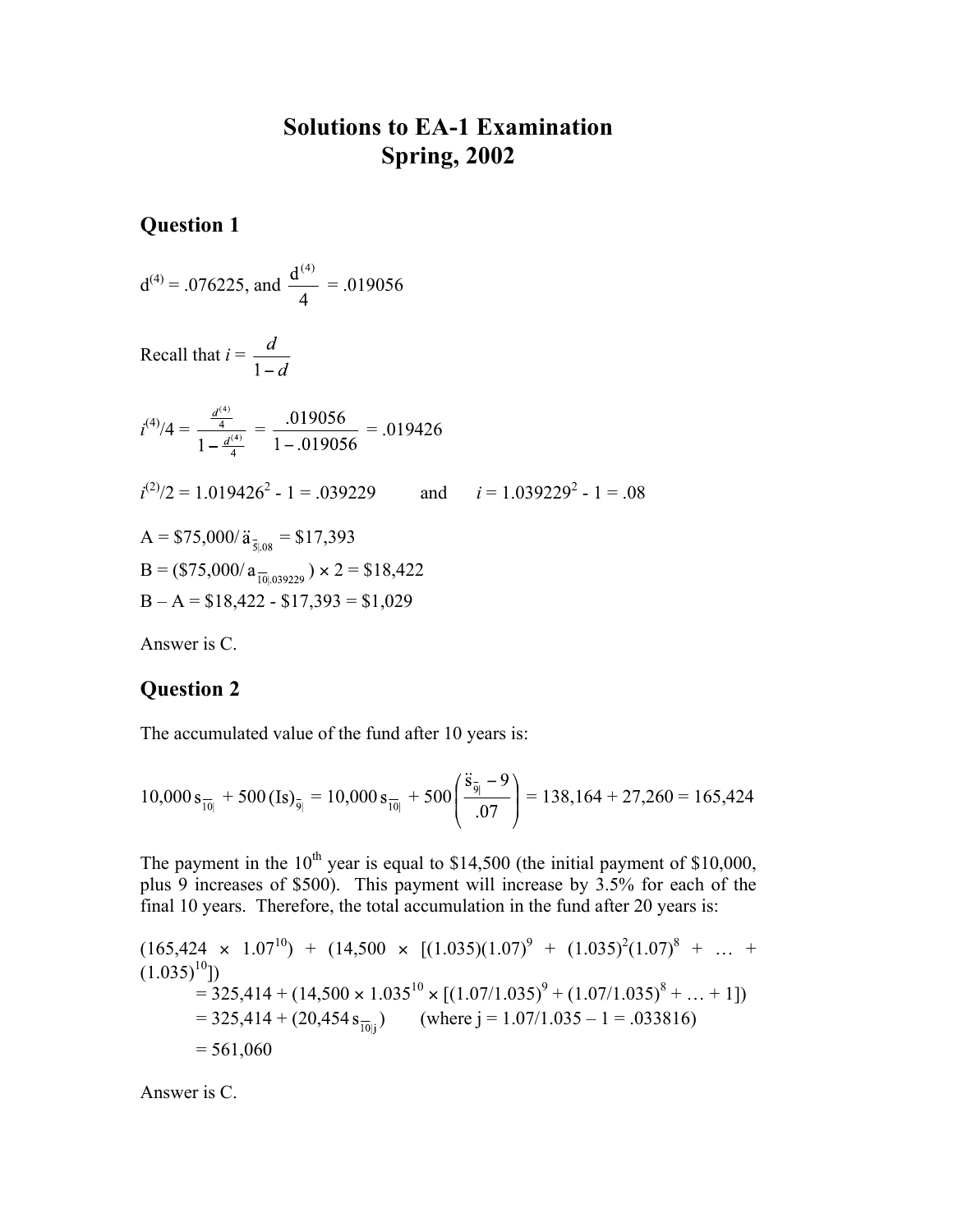## **Solutions to EA-1 Examination Spring, 2002**

**Question 1**

$$
d^{(4)} = .076225
$$
, and  $\frac{d^{(4)}}{4} = .019056$ 

Recall that 
$$
i = \frac{d}{1 - d}
$$

$$
i^{(4)}/4 = \frac{\frac{d^{(4)}}{4}}{1 - \frac{d^{(4)}}{4}} = \frac{.019056}{1 - .019056} = .019426
$$
  

$$
i^{(2)}/2 = 1.019426^2 - 1 = .039229 \qquad \text{and} \qquad i = 1.039229^2 - 1 = .08
$$
  
A = \$75,000/ $\ddot{a}_{\bar{s}|.08}$  = \$17,393

 $B = (\$75,000/a_{\frac{10,039229}{10,039229}}) \times 2 = \$18,422$  $B - A = $18,422 - $17,393 = $1,029$ 

Answer is C.

## **Question 2**

The accumulated value of the fund after 10 years is:

$$
10,000 s_{\overline{10}|} + 500 \text{ (Is)}_{\overline{9}|} = 10,000 s_{\overline{10}|} + 500 \left( \frac{\overline{8}_{\overline{9}|} - 9}{.07} \right) = 138,164 + 27,260 = 165,424
$$

The payment in the  $10^{th}$  year is equal to \$14,500 (the initial payment of \$10,000, plus 9 increases of \$500). This payment will increase by 3.5% for each of the final 10 years. Therefore, the total accumulation in the fund after 20 years is:

$$
(165,424 \times 1.07^{10}) + (14,500 \times [(1.035)(1.07)^9 + (1.035)^2(1.07)^8 + ... + (1.035)^{10}])
$$
  
= 325,414 + (14,500 \times 1.035^{10} \times [(1.07/1.035)^9 + (1.07/1.035)^8 + ... + 1])  
= 325,414 + (20,454 s<sub>10j</sub>) (where j = 1.07/1.035 – 1 = .033816)  
= 561,060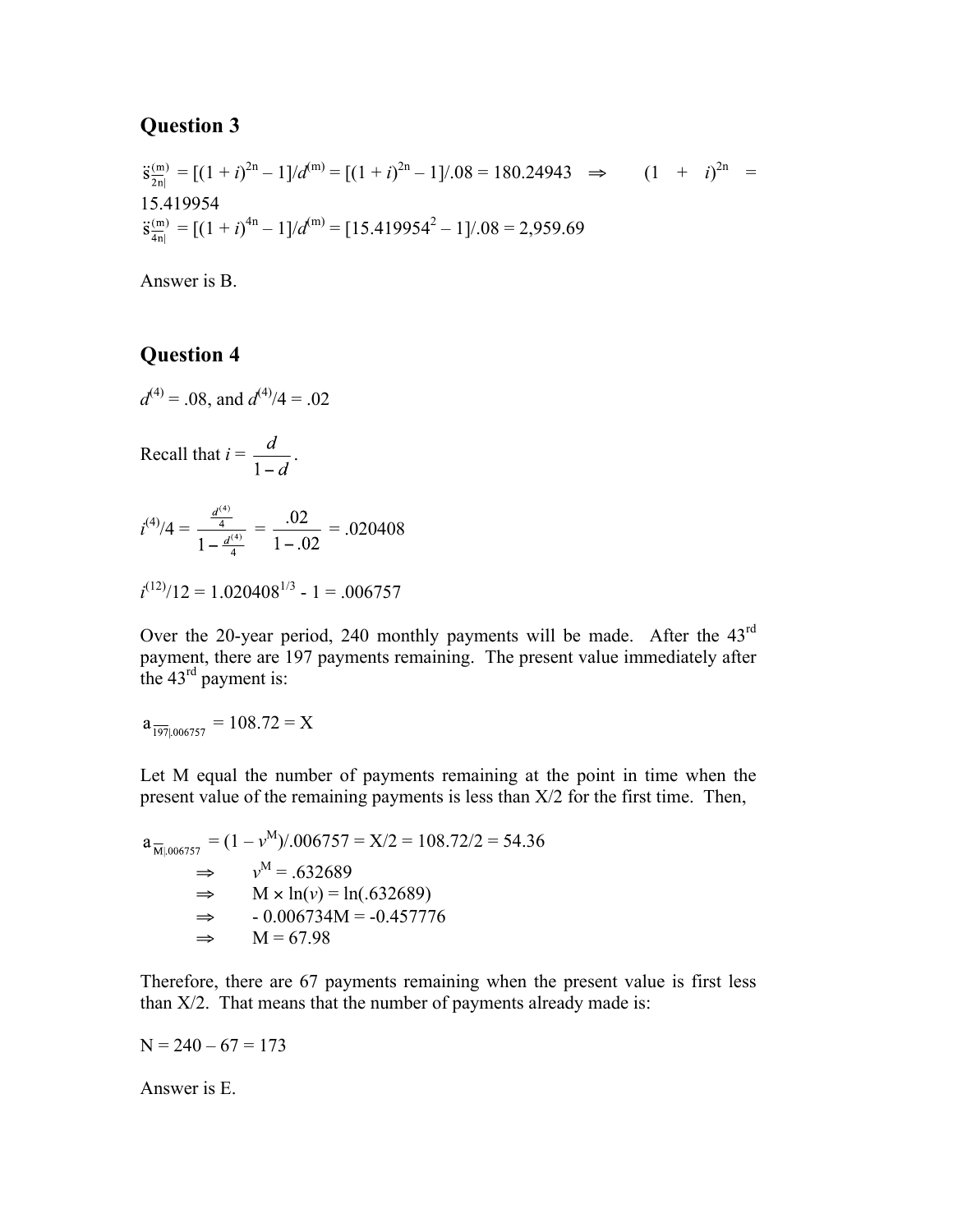$$
\ddot{s}_{\frac{2n}{2n}}^{(m)} = [(1+i)^{2n} - 1]/d^{(m)} = [(1+i)^{2n} - 1]/.08 = 180.24943 \implies (1 + i)^{2n} = 15.419954
$$
\n
$$
\ddot{s}_{\frac{2n}{4n}}^{(m)} = [(1+i)^{4n} - 1]/d^{(m)} = [15.419954^2 - 1]/.08 = 2,959.69
$$

Answer is B.

## **Question 4**

 $d^{(4)} = .08$ , and  $d^{(4)}/4 = .02$ 

Recall that  $i = \frac{d}{1-d}$ .

$$
i^{(4)}/4 = \frac{\frac{d^{(4)}}{4}}{1 - \frac{d^{(4)}}{4}} = \frac{.02}{1 - .02} = .020408
$$

$$
i^{(12)}/12 = 1.020408^{1/3} - 1 = .006757
$$

Over the 20-year period, 240 monthly payments will be made. After the 43<sup>rd</sup> payment, there are 197 payments remaining. The present value immediately after the  $43<sup>rd</sup>$  payment is:

$$
a_{\overline{197}|.006757} = 108.72 = X
$$

Let M equal the number of payments remaining at the point in time when the present value of the remaining payments is less than X/2 for the first time. Then,

$$
a_{\overline{M}|.006757} = (1 - v^M)/.006757 = X/2 = 108.72/2 = 54.36
$$
  
\n⇒  $v^M = .632689$   
\n⇒  $M \times ln(v) = ln(.632689)$   
\n⇒  $-0.006734M = -0.457776$   
\n⇒  $M = 67.98$ 

Therefore, there are 67 payments remaining when the present value is first less than X/2. That means that the number of payments already made is:

 $N = 240 - 67 = 173$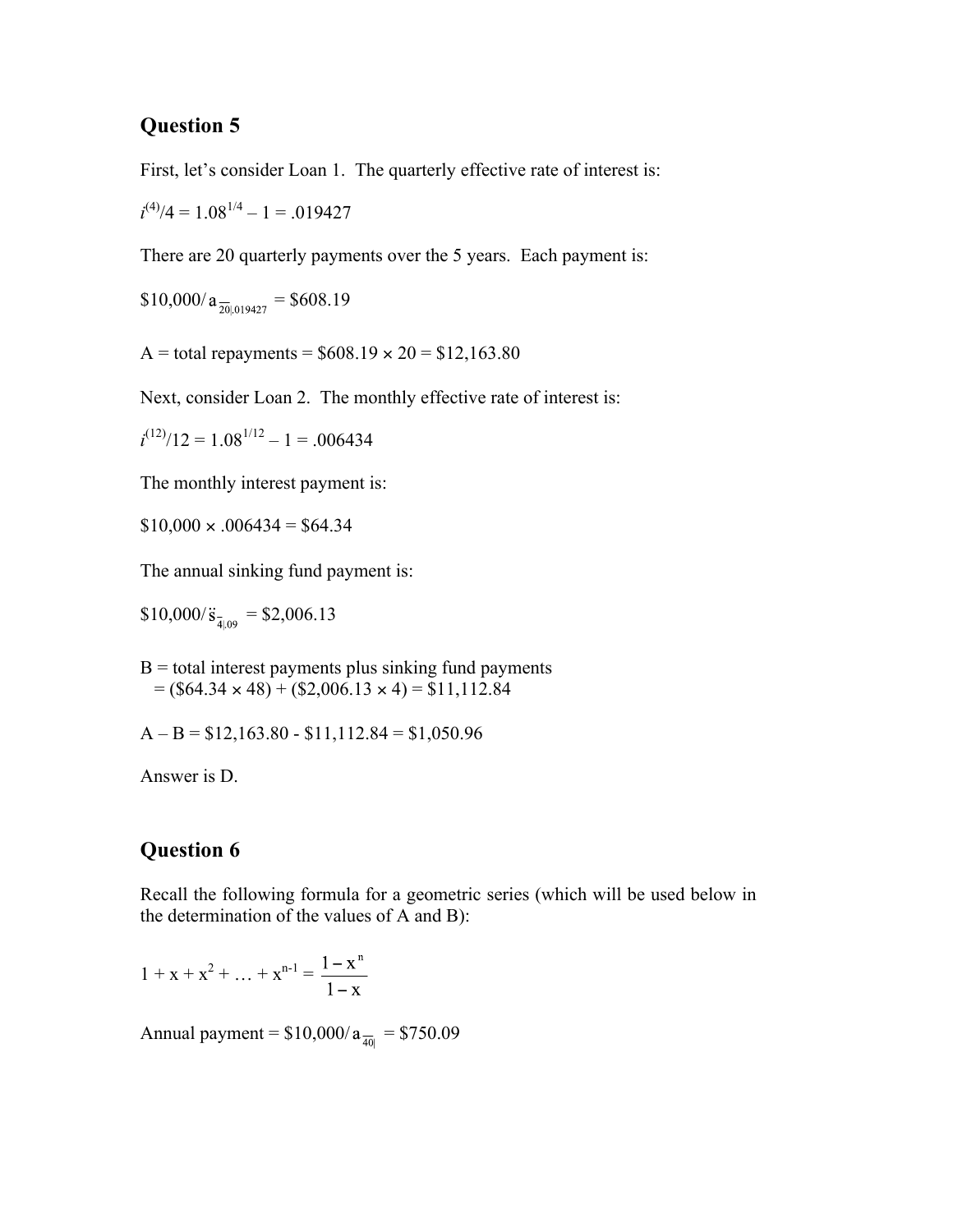First, let's consider Loan 1. The quarterly effective rate of interest is:

 $i^{(4)}/4 = 1.08^{1/4} - 1 = .019427$ 

There are 20 quarterly payments over the 5 years. Each payment is:

$$
\$10,000/a_{\frac{1}{20}019427} = \$608.19
$$

A = total repayments =  $$608.19 \times 20 = $12,163.80$ 

Next, consider Loan 2. The monthly effective rate of interest is:

 $i^{(12)}/12 = 1.08^{1/12} - 1 = .006434$ 

The monthly interest payment is:

 $$10,000 \times 0.006434 = $64.34$ 

The annual sinking fund payment is:

 $$10,000/\ddot{s}_{\bar{4}|09} = $2,006.13$ 

 $B =$  total interest payments plus sinking fund payments  $= (\$64.34 \times 48) + (\$2,006.13 \times 4) = \$11,112.84$ 

 $A - B = $12,163.80 - $11,112.84 = $1,050.96$ 

Answer is D.

## **Question 6**

Recall the following formula for a geometric series (which will be used below in the determination of the values of A and B):

$$
1 + x + x2 + ... + xn-1 = \frac{1 - xn}{1 - x}
$$

Annual payment =  $$10,000/a_{\frac{1}{40}}$  = \$750.09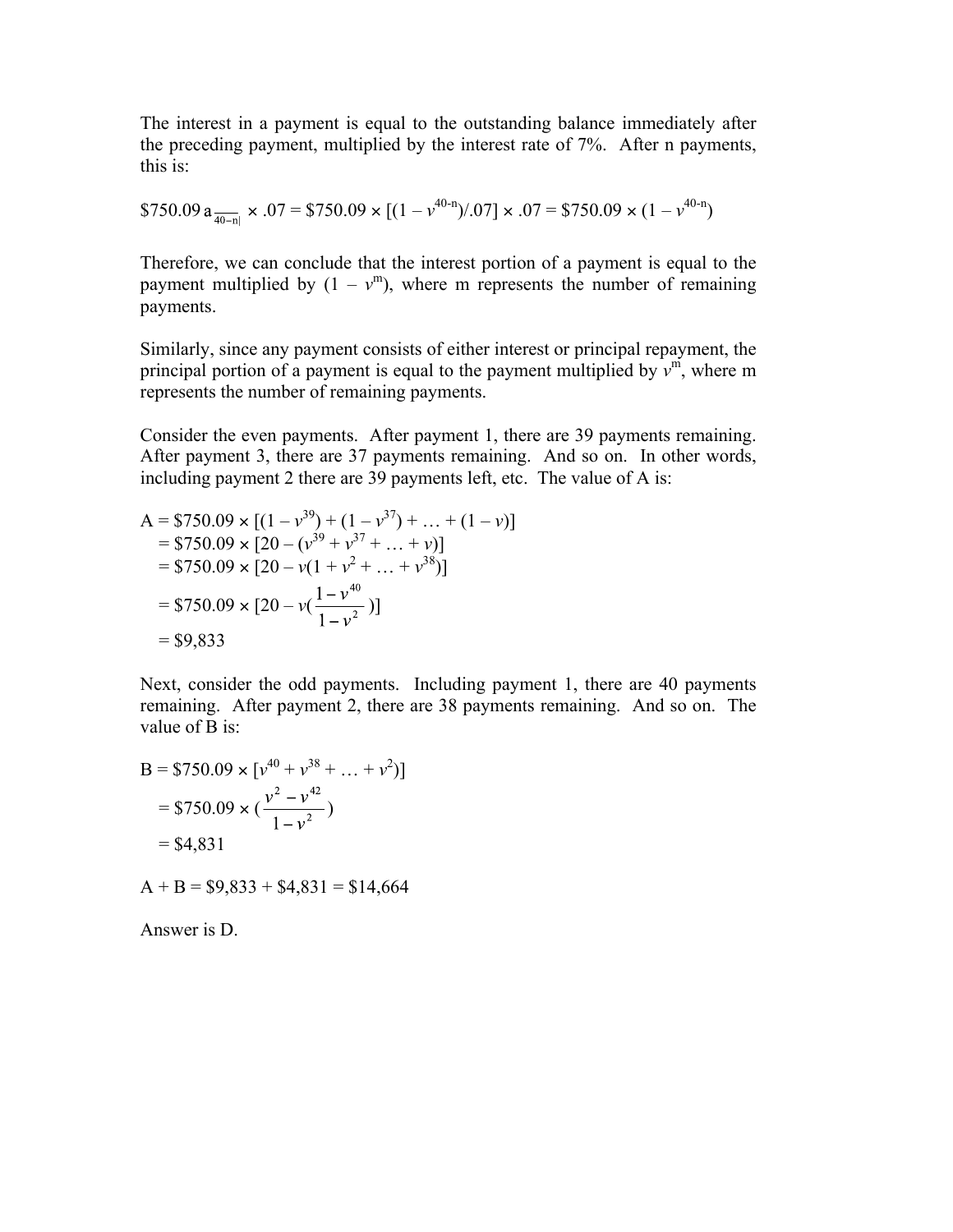The interest in a payment is equal to the outstanding balance immediately after the preceding payment, multiplied by the interest rate of 7%. After n payments, this is:

\$750.09 a 
$$
\frac{1}{40-n}
$$
 × .07 = \$750.09 × [(1 - v<sup>40-n</sup>)/.07] × .07 = \$750.09 × (1 - v<sup>40-n</sup>)

Therefore, we can conclude that the interest portion of a payment is equal to the payment multiplied by  $(1 - v<sup>m</sup>)$ , where m represents the number of remaining payments.

Similarly, since any payment consists of either interest or principal repayment, the principal portion of a payment is equal to the payment multiplied by  $v^{\dot{m}}$ , where m represents the number of remaining payments.

Consider the even payments. After payment 1, there are 39 payments remaining. After payment 3, there are 37 payments remaining. And so on. In other words, including payment 2 there are 39 payments left, etc. The value of A is:

A = \$750.09 × [(1 - v<sup>39</sup>) + (1 - v<sup>37</sup>) + ... + (1 - v)]  
\n= \$750.09 × [20 - (v<sup>39</sup> + v<sup>37</sup> + ... + v)]  
\n= \$750.09 × [20 - v(1 + v<sup>2</sup> + ... + v<sup>38</sup>)]  
\n= \$750.09 × [20 - v(
$$
\frac{1 - v40}{1 - v2}
$$
)]  
\n= \$9,833

Next, consider the odd payments. Including payment 1, there are 40 payments remaining. After payment 2, there are 38 payments remaining. And so on. The value of B is:

B = \$750.09 × 
$$
[v^{40} + v^{38} + ... + v^2]
$$
]  
= \$750.09 ×  $(\frac{v^2 - v^{42}}{1 - v^2})$   
= \$4,831

 $A + B = $9,833 + $4,831 = $14,664$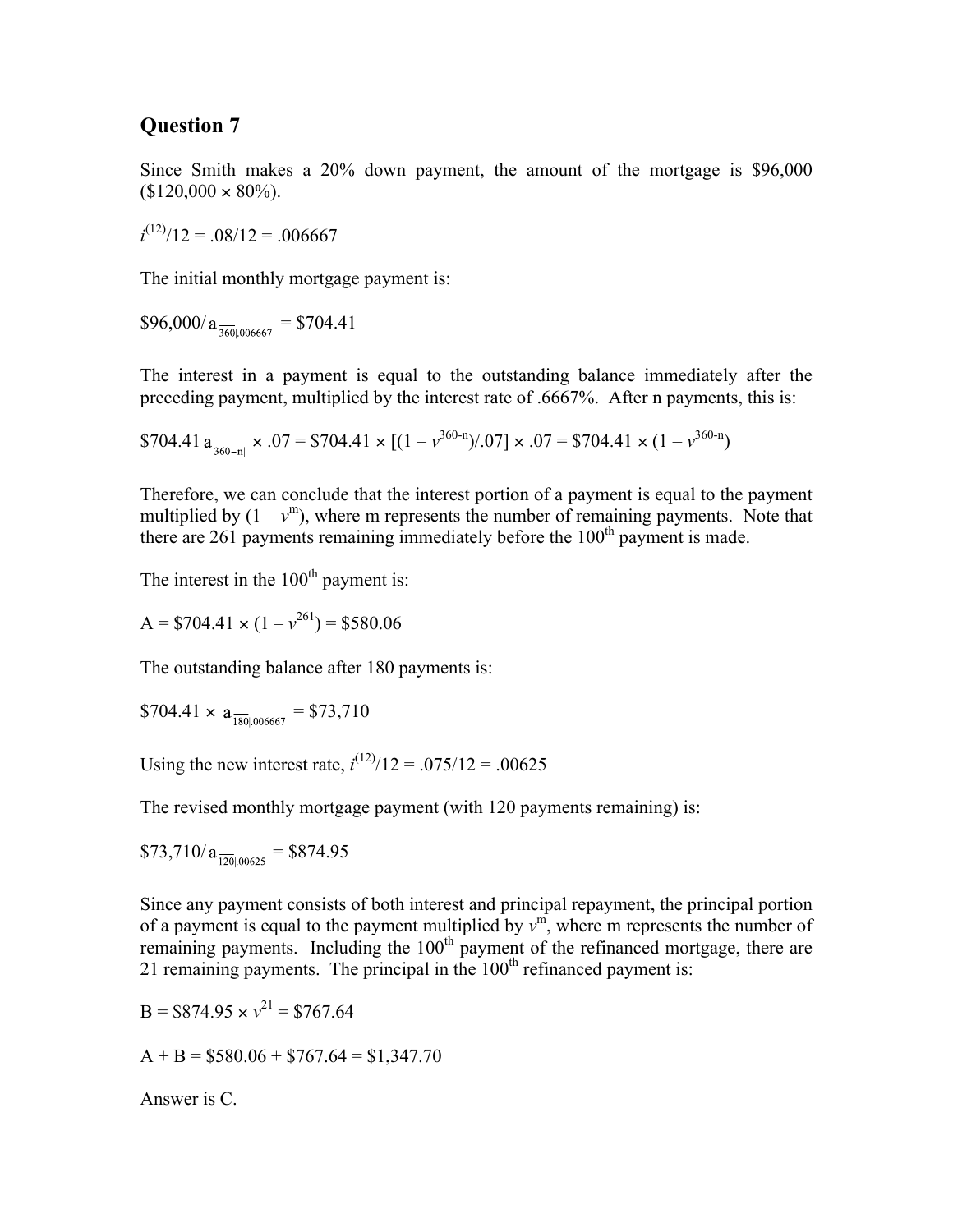Since Smith makes a 20% down payment, the amount of the mortgage is \$96,000  $$120,000 \times 80\%$ ).

 $i^{(12)}/12 = .08/12 = .006667$ 

The initial monthly mortgage payment is:

 $$96,000/a_{\frac{360}{360}006667}$  = \$704.41

The interest in a payment is equal to the outstanding balance immediately after the preceding payment, multiplied by the interest rate of .6667%. After n payments, this is:

\$704.41 a 
$$
\frac{1}{360-n}
$$
 × .07 = \$704.41 × [(1 - v<sup>360-n</sup>)/.07] × .07 = \$704.41 × (1 - v<sup>360-n</sup>)

Therefore, we can conclude that the interest portion of a payment is equal to the payment multiplied by  $(1 - v<sup>m</sup>)$ , where m represents the number of remaining payments. Note that there are 261 payments remaining immediately before the  $100<sup>th</sup>$  payment is made.

The interest in the  $100<sup>th</sup>$  payment is:

$$
A = $704.41 \times (1 - v^{261}) = $580.06
$$

The outstanding balance after 180 payments is:

$$
$704.41 \times a_{\frac{180}{180006667}} = $73,710
$$

Using the new interest rate,  $i^{(12)}/12 = .075/12 = .00625$ 

The revised monthly mortgage payment (with 120 payments remaining) is:

\$73,710/ = \$874.95

Since any payment consists of both interest and principal repayment, the principal portion of a payment is equal to the payment multiplied by  $v^{\text{m}}$ , where m represents the number of remaining payments. Including the  $100<sup>th</sup>$  payment of the refinanced mortgage, there are 21 remaining payments. The principal in the  $100<sup>th</sup>$  refinanced payment is:

$$
B = $874.95 \times v^{21} = $767.64
$$

 $A + B = $580.06 + $767.64 = $1,347.70$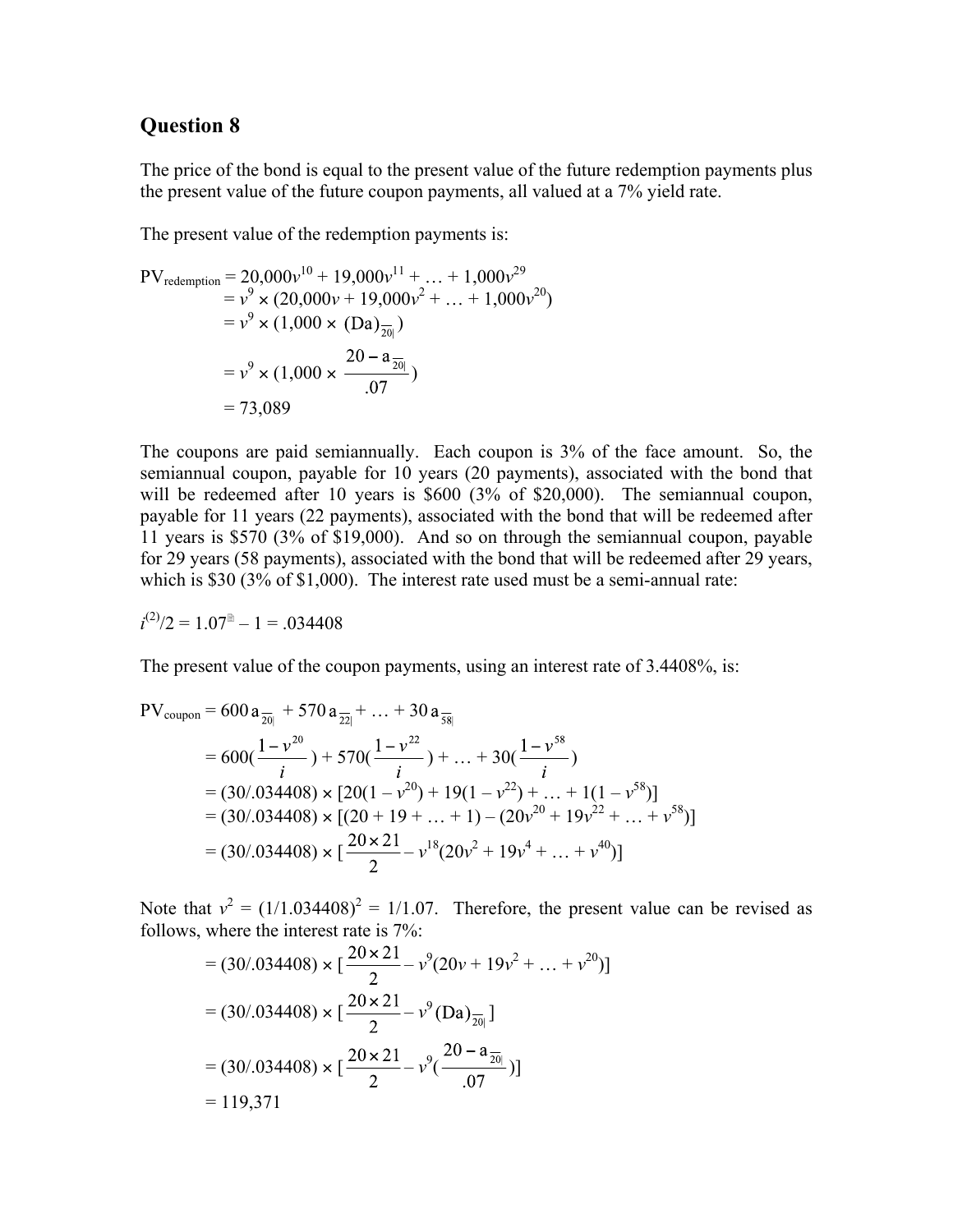The price of the bond is equal to the present value of the future redemption payments plus the present value of the future coupon payments, all valued at a 7% yield rate.

The present value of the redemption payments is:

$$
PV_{\text{redefinition}} = 20,000v^{10} + 19,000v^{11} + ... + 1,000v^{29}
$$
  
=  $v^9 \times (20,000v + 19,000v^2 + ... + 1,000v^{20})$   
=  $v^9 \times (1,000 \times (Da)_{\frac{1}{20}})$   
=  $v^9 \times (1,000 \times \frac{20 - a_{\frac{1}{20}}}{.07})$   
= 73,089

The coupons are paid semiannually. Each coupon is 3% of the face amount. So, the semiannual coupon, payable for 10 years (20 payments), associated with the bond that will be redeemed after 10 years is \$600 (3% of \$20,000). The semiannual coupon, payable for 11 years (22 payments), associated with the bond that will be redeemed after 11 years is \$570 (3% of \$19,000). And so on through the semiannual coupon, payable for 29 years (58 payments), associated with the bond that will be redeemed after 29 years, which is \$30 (3% of \$1,000). The interest rate used must be a semi-annual rate:

$$
i^{(2)}/2 = 1.07^{\circ} - 1 = .034408
$$

The present value of the coupon payments, using an interest rate of 3.4408%, is:

$$
PV_{\text{coupon}} = 600 a_{\frac{1}{20}} + 570 a_{\frac{1}{22}|} + ... + 30 a_{\frac{1}{58}|}
$$
  
= 600( $\frac{1 - v^{20}}{i}$ ) + 570( $\frac{1 - v^{22}}{i}$ ) + ... + 30( $\frac{1 - v^{58}}{i}$ )  
= (30/.034408) × [20(1 - v<sup>20</sup>) + 19(1 - v<sup>22</sup>) + ... + 1(1 - v<sup>58</sup>)]  
= (30/.034408) × [(20 + 19 + ... + 1) - (20v<sup>20</sup> + 19v<sup>22</sup> + ... + v<sup>58</sup>)]  
= (30/.034408) × [ $\frac{20 \times 21}{2}$  - v<sup>18</sup>(20v<sup>2</sup> + 19v<sup>4</sup> + ... + v<sup>40</sup>)]

Note that  $v^2 = (1/1.034408)^2 = 1/1.07$ . Therefore, the present value can be revised as follows, where the interest rate is 7%:

$$
= (30/034408) \times \left[\frac{20 \times 21}{2} - v^9 (20v + 19v^2 + ... + v^{20})\right]
$$
  
= (30/034408) \times \left[\frac{20 \times 21}{2} - v^9 (Da)\_{\frac{20}{20}}\right]  
= (30/034408) \times \left[\frac{20 \times 21}{2} - v^9 \left(\frac{20 - a\_{\frac{20}{20}}}{0.07}\right)\right]  
= 119,371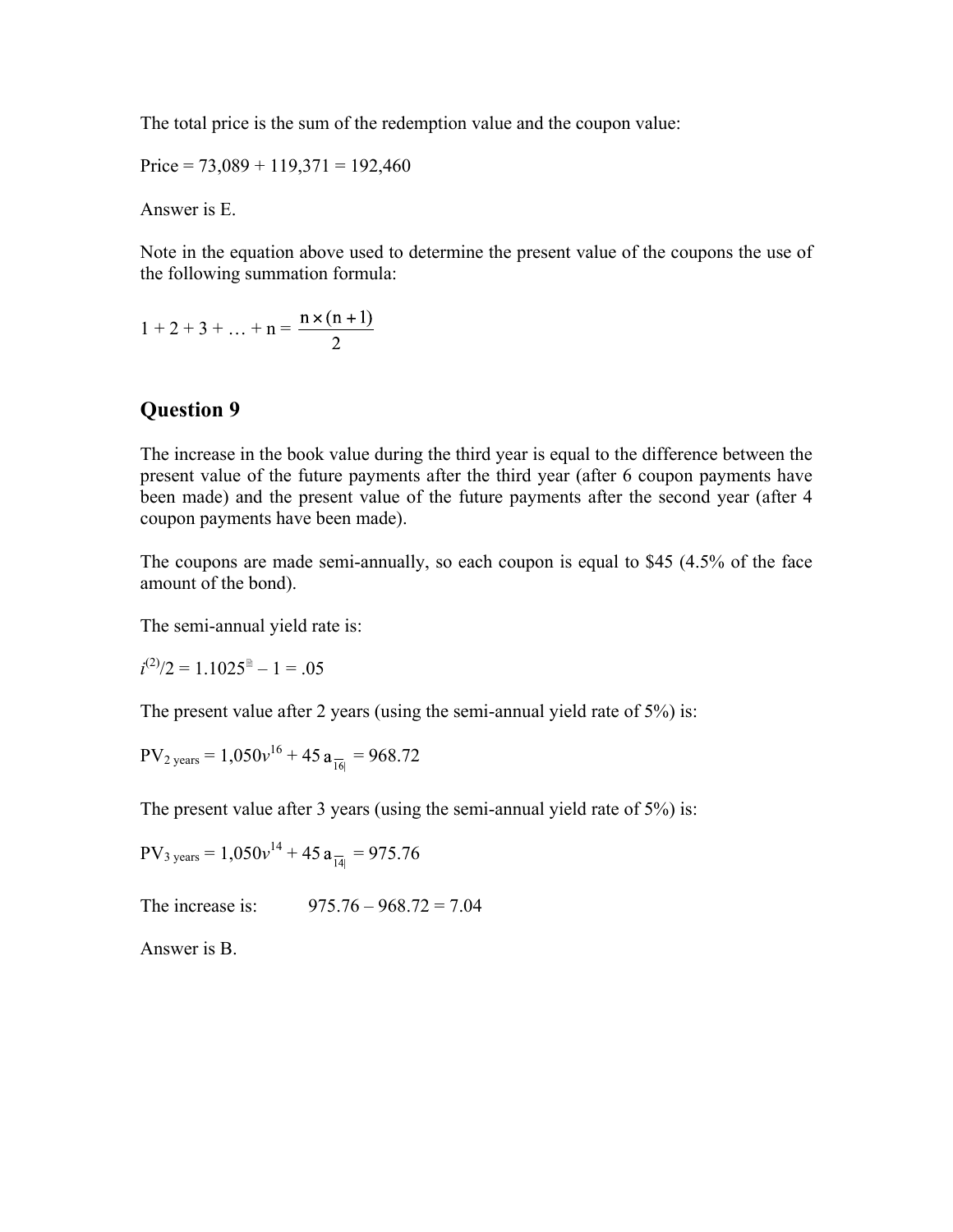The total price is the sum of the redemption value and the coupon value:

Price =  $73,089 + 119,371 = 192,460$ 

Answer is E.

Note in the equation above used to determine the present value of the coupons the use of the following summation formula:

$$
1 + 2 + 3 + \dots + n = \frac{n \times (n + 1)}{2}
$$

#### **Question 9**

The increase in the book value during the third year is equal to the difference between the present value of the future payments after the third year (after 6 coupon payments have been made) and the present value of the future payments after the second year (after 4 coupon payments have been made).

The coupons are made semi-annually, so each coupon is equal to \$45 (4.5% of the face amount of the bond).

The semi-annual yield rate is:

 $i^{(2)}/2 = 1.1025^{\circ} - 1 = .05$ 

The present value after 2 years (using the semi-annual yield rate of 5%) is:

$$
PV_{2 \text{ years}} = 1,050v^{16} + 45 a_{\overline{16}|} = 968.72
$$

The present value after 3 years (using the semi-annual yield rate of 5%) is:

$$
PV_{3 \text{ years}} = 1.050v^{14} + 45a_{\overline{14}} = 975.76
$$

The increase is: 975.76 – 968.72 = 7.04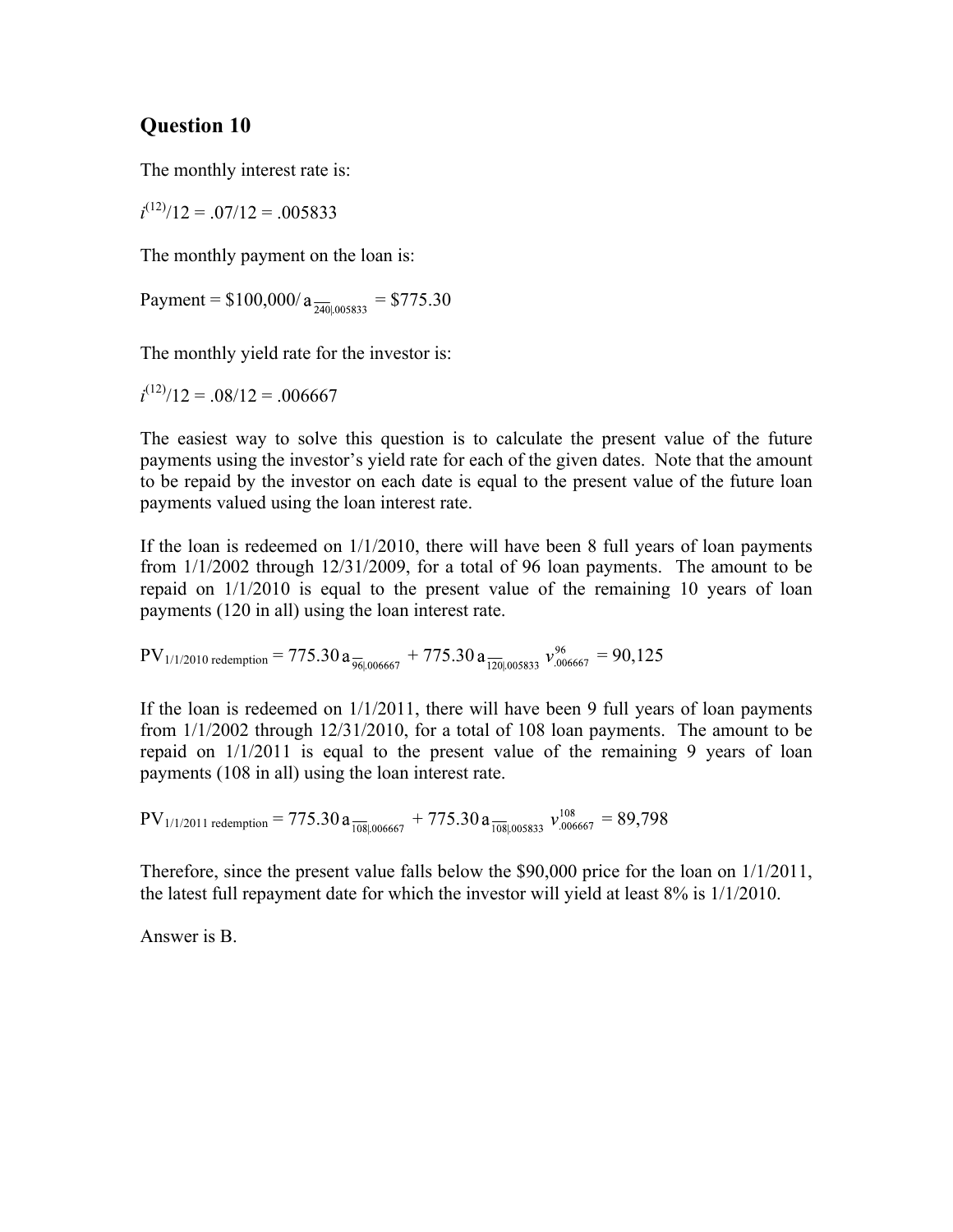The monthly interest rate is:

 $i^{(12)}/12 = .07/12 = .005833$ 

The monthly payment on the loan is:

Payment =  $$100,000/a_{\frac{740}{10005833}}$  = \$775.30

The monthly yield rate for the investor is:

 $i^{(12)}/12 = .08/12 = .006667$ 

The easiest way to solve this question is to calculate the present value of the future payments using the investor's yield rate for each of the given dates. Note that the amount to be repaid by the investor on each date is equal to the present value of the future loan payments valued using the loan interest rate.

If the loan is redeemed on 1/1/2010, there will have been 8 full years of loan payments from 1/1/2002 through 12/31/2009, for a total of 96 loan payments. The amount to be repaid on 1/1/2010 is equal to the present value of the remaining 10 years of loan payments (120 in all) using the loan interest rate.

$$
PV_{1/1/2010 \text{ redemption}} = 775.30 a_{\frac{961,006667}{961,006667}} + 775.30 a_{\frac{1201,005833}{1201,005833}} v_{.006667}^{96} = 90,125
$$

If the loan is redeemed on 1/1/2011, there will have been 9 full years of loan payments from 1/1/2002 through 12/31/2010, for a total of 108 loan payments. The amount to be repaid on 1/1/2011 is equal to the present value of the remaining 9 years of loan payments (108 in all) using the loan interest rate.

$$
PV_{1/1/2011 \text{ redemption}} = 775.30 a_{\frac{1081,006667}{1081,006667}} + 775.30 a_{\frac{1081,005833}{1081,005833}} v^{108}_{.006667} = 89,798
$$

Therefore, since the present value falls below the \$90,000 price for the loan on 1/1/2011, the latest full repayment date for which the investor will yield at least 8% is 1/1/2010.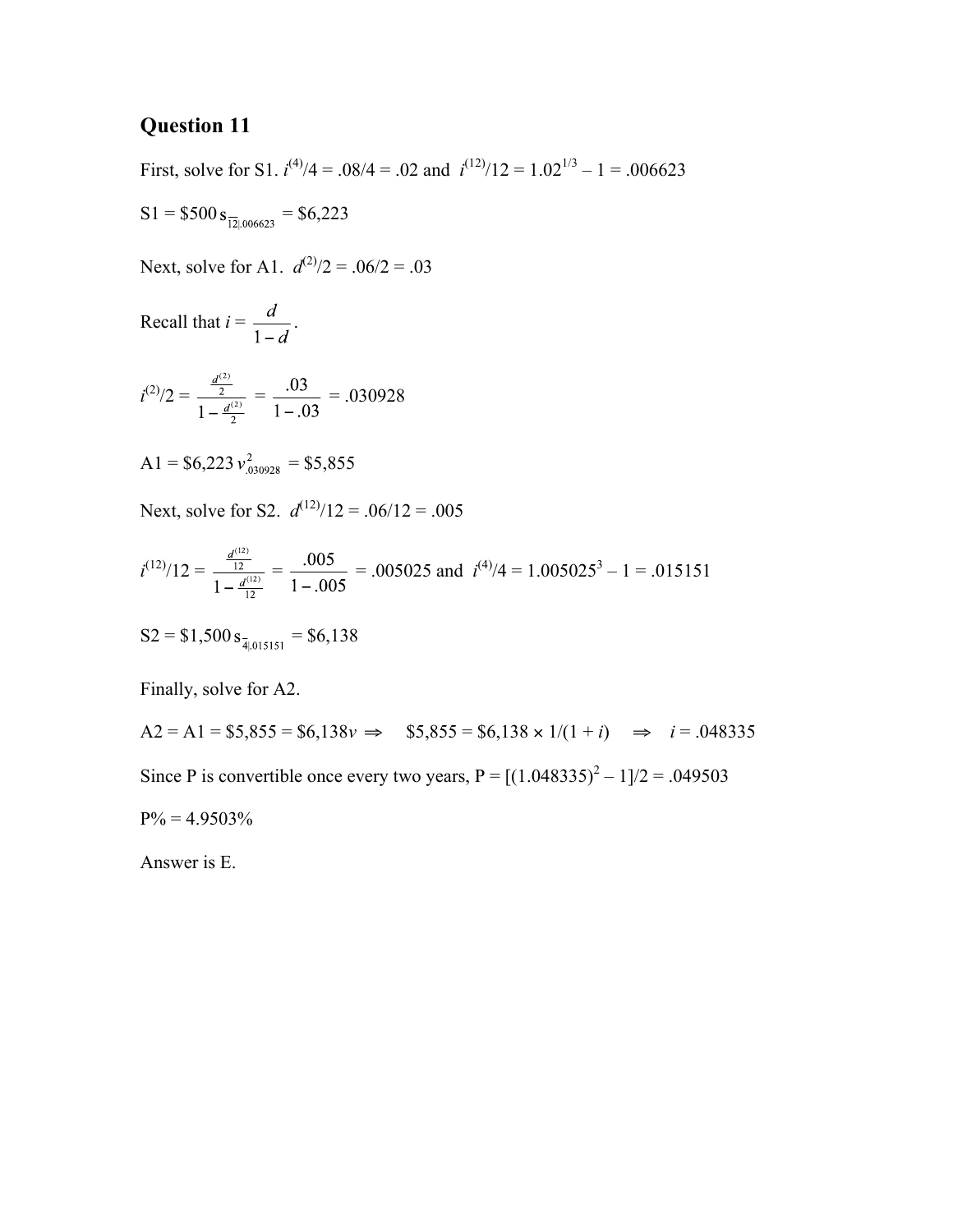First, solve for S1.  $i^{(4)}/4 = .08/4 = .02$  and  $i^{(12)}/12 = 1.02^{1/3} - 1 = .006623$ 

$$
S1 = $500 s_{\frac{121,006623}{121,006623}} = $6,223
$$

Next, solve for A1.  $d^{(2)}/2 = .06/2 = .03$ 

Recall that 
$$
i = \frac{d}{1-d}
$$
.

$$
i^{(2)}/2 = \frac{\frac{d^{(2)}}{2}}{1 - \frac{d^{(2)}}{2}} = \frac{.03}{1 - .03} = .030928
$$

$$
A1 = $6,223 \, v_{.030928}^2 = $5,855
$$

Next, solve for S2.  $d^{(12)}/12 = .06/12 = .005$ 

$$
i^{(12)}/12 = \frac{\frac{d^{(12)}}{12}}{1-\frac{d^{(12)}}{12}} = \frac{.005}{1-.005} = .005025
$$
 and  $i^{(4)}/4 = 1.005025^3 - 1 = .015151$ 

$$
S2 = $1,500 s_{\frac{1}{4}|015151} = $6,138
$$

Finally, solve for A2.

 $A2 = A1 = $5,855 = $6,138v \implies $5,855 = $6,138 \times 1/(1+i) \implies i = .048335$ Since P is convertible once every two years,  $P = [(1.048335)^{2} - 1]/2 = .049503$  $P\% = 4.9503\%$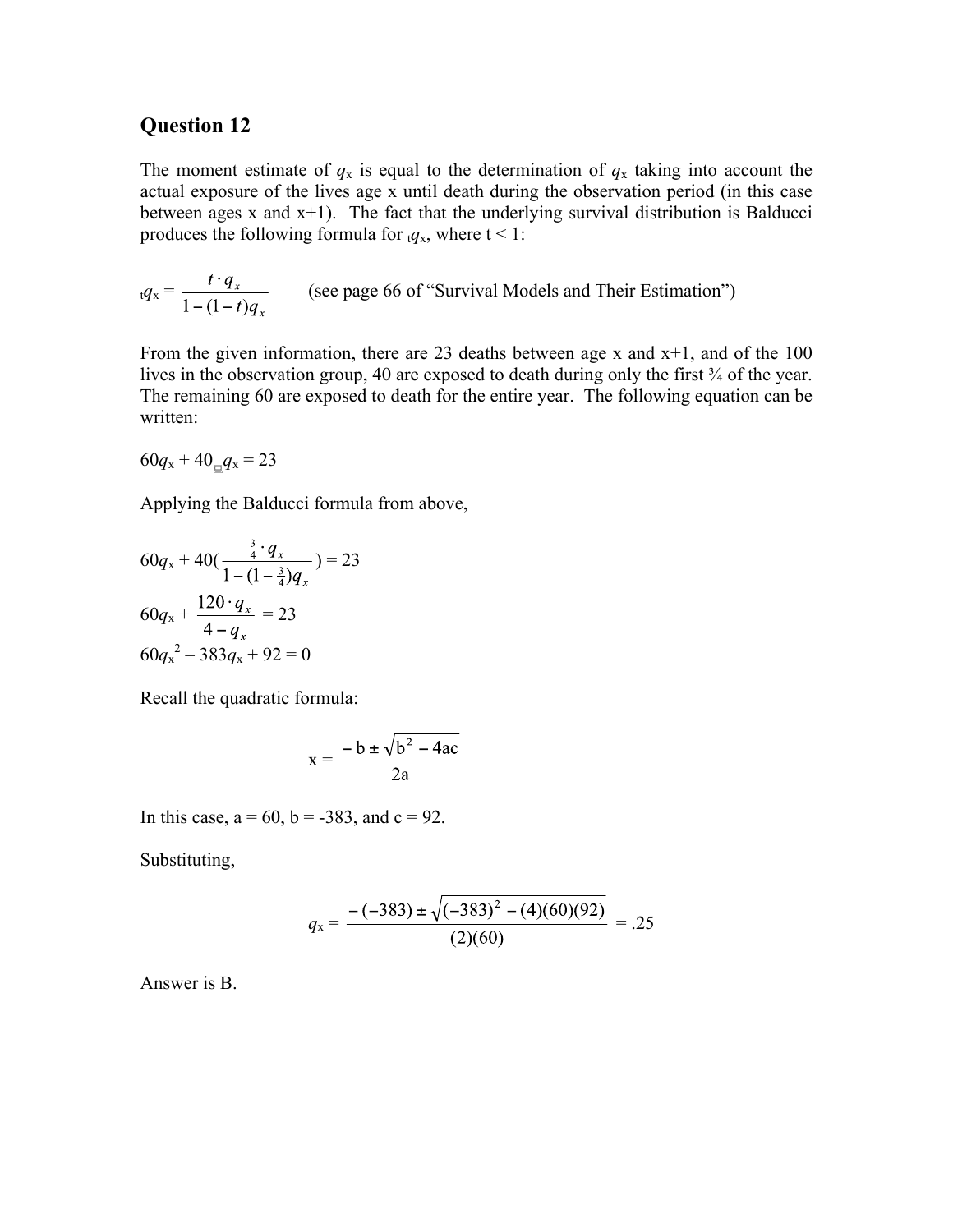The moment estimate of  $q_x$  is equal to the determination of  $q_x$  taking into account the actual exposure of the lives age x until death during the observation period (in this case between ages x and x+1). The fact that the underlying survival distribution is Balducci produces the following formula for  $t q_x$ , where  $t < 1$ :

$$
_t q_x = \frac{t \cdot q_x}{1 - (1 - t) q_x}
$$
 (see page 66 of "Survival Models and Their Estimation")

From the given information, there are 23 deaths between age x and  $x+1$ , and of the 100 lives in the observation group, 40 are exposed to death during only the first ¾ of the year. The remaining 60 are exposed to death for the entire year. The following equation can be written:

 $60q_x + 40q_yq_x = 23$ 

Applying the Balducci formula from above,

$$
60qx + 40(\frac{\frac{3}{4} \cdot q_{x}}{1 - (1 - \frac{3}{4})q_{x}}) = 23
$$
  

$$
60qx + \frac{120 \cdot q_{x}}{4 - q_{x}} = 23
$$
  

$$
60qx2 - 383q_{x} + 92 = 0
$$

Recall the quadratic formula:

$$
x = \frac{-b \pm \sqrt{b^2 - 4ac}}{2a}
$$

In this case,  $a = 60$ ,  $b = -383$ , and  $c = 92$ .

Substituting,

$$
q_{x} = \frac{-(-383) \pm \sqrt{(-383)^{2} - (4)(60)(92)}}{(2)(60)} = .25
$$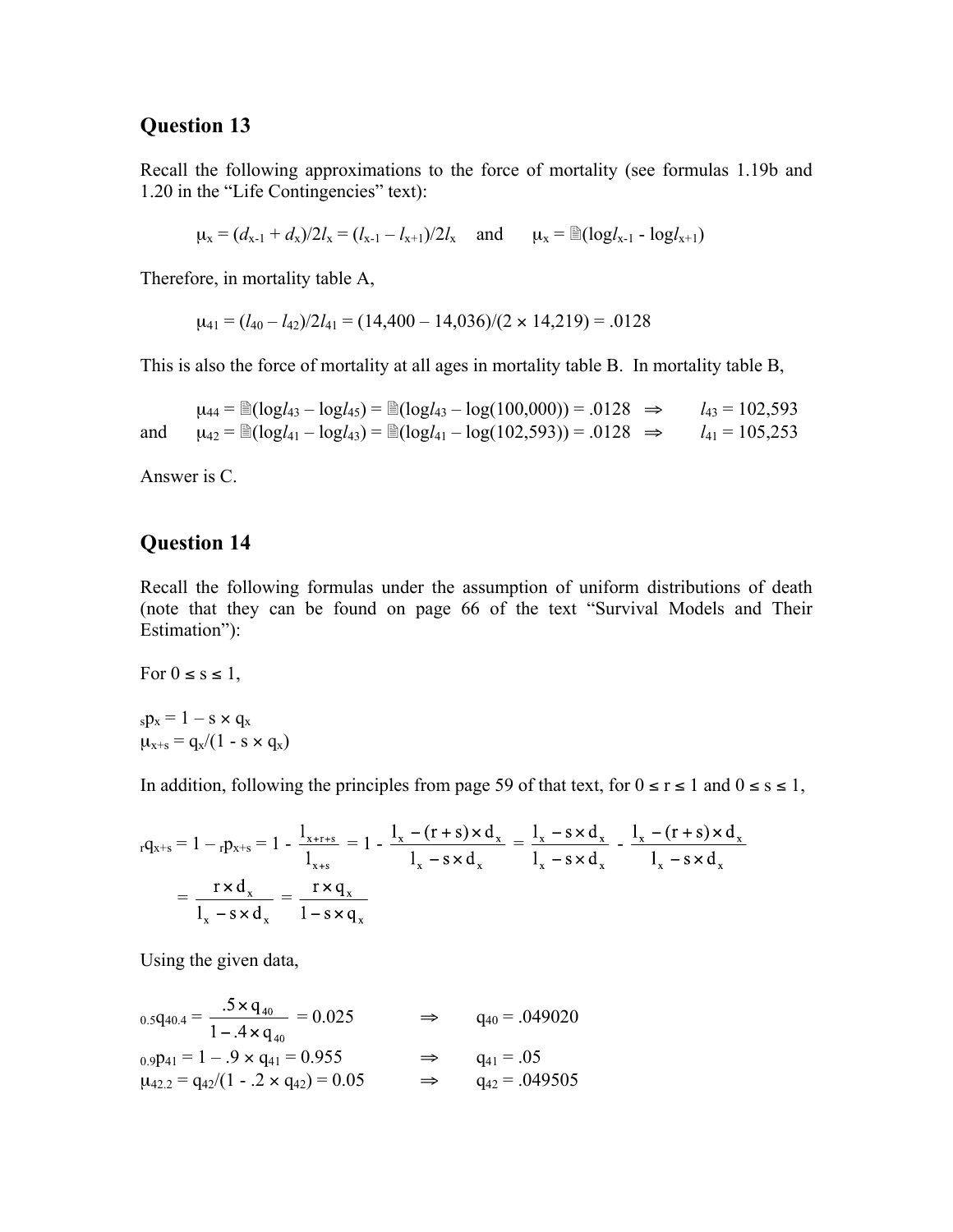Recall the following approximations to the force of mortality (see formulas 1.19b and 1.20 in the "Life Contingencies" text):

 $\mu_x = (d_{x-1} + d_x)/2l_x = (l_{x-1} - l_{x+1})/2l_x$  and  $\mu_x = \mathbb{E}(\log l_{x-1} - \log l_{x+1})$ 

Therefore, in mortality table A,

 $\mu_{41} = (l_{40} - l_{42})/2l_{41} = (14,400 - 14,036)/(2 \times 14,219) = .0128$ 

This is also the force of mortality at all ages in mortality table B. In mortality table B,

 $\mu_{44} = \text{P}(logI_{43} - logI_{45}) = \text{P}(logI_{43} - log(100,000)) = .0128 \implies I_{43} = 102,593$ and  $\mu_{42} = \mathbb{E}(\log l_{41} - \log l_{43}) = \mathbb{E}(\log l_{41} - \log(102,593)) = .0128 \implies l_{41} = 105,253$ 

Answer is C.

#### **Question 14**

Recall the following formulas under the assumption of uniform distributions of death (note that they can be found on page 66 of the text "Survival Models and Their Estimation"):

For  $0 \leq s \leq 1$ ,

 $_{s}p_{x} = 1 - s \times q_{x}$  $\mu_{x+s} = q_x/(1 - s \times q_x)$ 

In addition, following the principles from page 59 of that text, for  $0 \le r \le 1$  and  $0 \le s \le 1$ ,

$$
{}_{r}q_{x+s} = 1 - {}_{r}p_{x+s} = 1 - \frac{1_{x+rs}}{1_{x+s}} = 1 - \frac{1_{x} - (r+s) \times d_{x}}{1_{x} - s \times d_{x}} = \frac{1_{x} - s \times d_{x}}{1_{x} - s \times d_{x}} - \frac{1_{x} - (r+s) \times d_{x}}{1_{x} - s \times d_{x}}
$$

$$
= \frac{r \times d_{x}}{1_{x} - s \times d_{x}} = \frac{r \times q_{x}}{1 - s \times q_{x}}
$$

Using the given data,

$$
{}_{0.5}q_{40.4} = \frac{.5 \times q_{40}}{1 - .4 \times q_{40}} = 0.025 \qquad \Rightarrow \qquad q_{40} = .049020
$$
  
\n
$$
{}_{0.9}p_{41} = 1 - .9 \times q_{41} = 0.955 \qquad \Rightarrow \qquad q_{41} = .05
$$
  
\n
$$
\mu_{42.2} = q_{42}/(1 - .2 \times q_{42}) = 0.05 \qquad \Rightarrow \qquad q_{42} = .049505
$$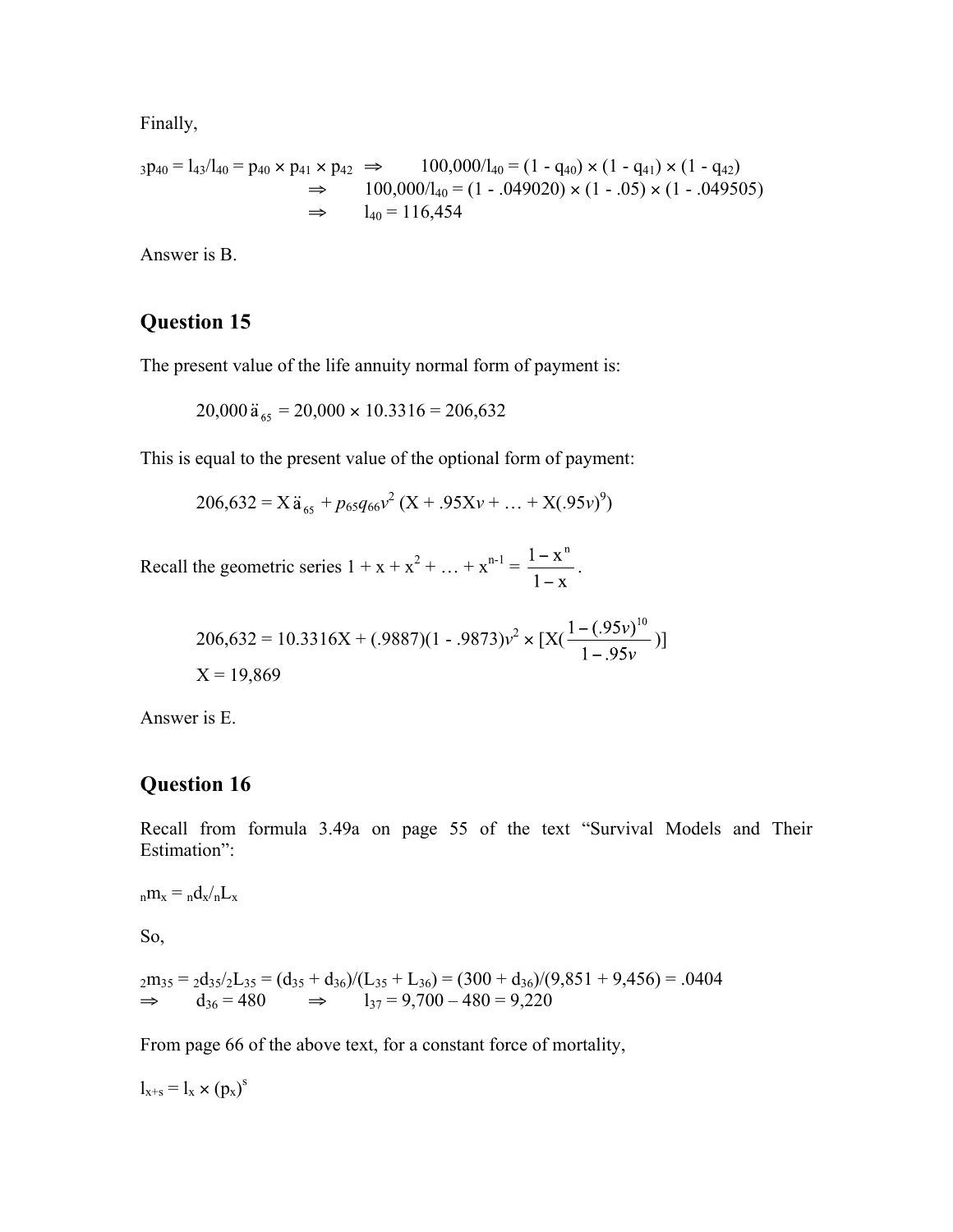Finally,

$$
_3p_{40} = l_{43}/l_{40} = p_{40} \times p_{41} \times p_{42} \implies 100,000/l_{40} = (1 - q_{40}) \times (1 - q_{41}) \times (1 - q_{42})
$$
  
\n
$$
\implies 100,000/l_{40} = (1 - .049020) \times (1 - .05) \times (1 - .049505)
$$
  
\n
$$
\implies l_{40} = 116,454
$$

Answer is B.

#### **Question 15**

The present value of the life annuity normal form of payment is:

 $20,000 \ddot{a}_{65} = 20,000 \times 10.3316 = 206,632$ 

This is equal to the present value of the optional form of payment:

 $206,632 = X\ddot{a}_{65} + p_{65}q_{66}v^2(X + .95Xv + ... + X(.95v)^9)$ 

Recall the geometric series  $1 + x + x^2 + ... + x^{n-1} = \frac{1-x}{1-x}$ .

$$
206,632 = 10.3316X + (0.9887)(1 - 0.9873)v^{2} \times [X(\frac{1 - (0.95v)^{10}}{1 - 0.95v})]
$$
  
X = 19,869

Answer is E.

## **Question 16**

Recall from formula 3.49a on page 55 of the text "Survival Models and Their Estimation":

 ${}_{\text{n}}\text{m}_x = {}_{\text{n}}\text{d}_x / {}_{\text{n}}\text{L}_x$ 

So,

$$
2m_{35} = 2d_{35}/2L_{35} = (d_{35} + d_{36})/(L_{35} + L_{36}) = (300 + d_{36})/(9,851 + 9,456) = .0404
$$
  
\n
$$
\Rightarrow d_{36} = 480 \Rightarrow l_{37} = 9,700 - 480 = 9,220
$$

From page 66 of the above text, for a constant force of mortality,

 $l_{x+s} = l_x \times (p_x)^s$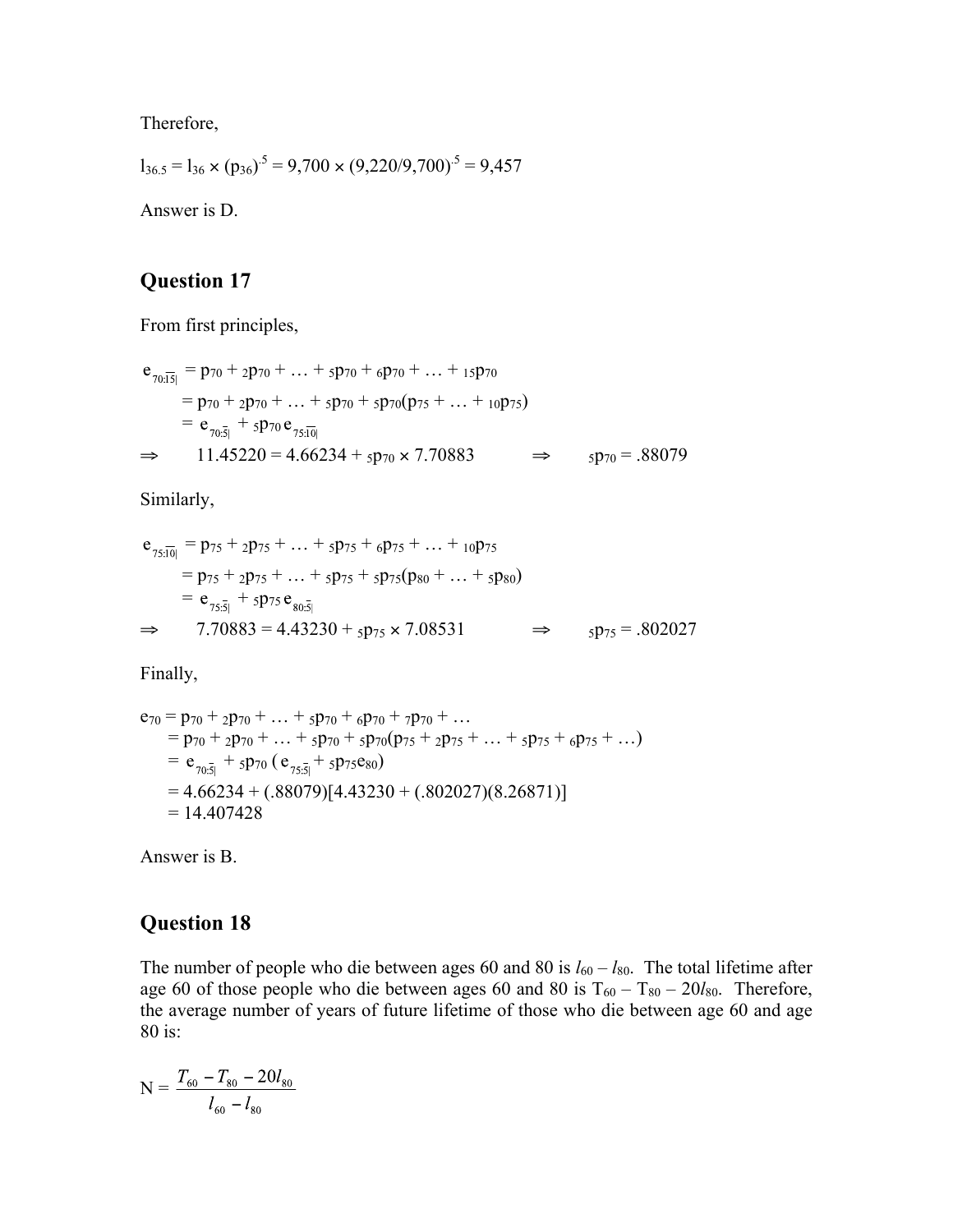Therefore,

$$
l_{36.5} = l_{36} \times (p_{36})^5 = 9{,}700 \times (9{,}220/9{,}700)^5 = 9{,}457
$$

Answer is D.

## **Question 17**

From first principles,

$$
e_{70:\overline{15}|} = p_{70} + 2p_{70} + ... + 5p_{70} + 6p_{70} + ... + 15p_{70}
$$
  
=  $p_{70} + 2p_{70} + ... + 5p_{70} + 5p_{70}(p_{75} + ... + 10p_{75})$   
=  $e_{70:\overline{5}|} + 5p_{70}e_{75:\overline{10}|}$   
 $\Rightarrow 11.45220 = 4.66234 + 5p_{70} \times 7.70883 \Rightarrow 5p_{70} = .88079$ 

Similarly,

$$
e_{75:\overline{10}|} = p_{75} + 2p_{75} + ... + 5p_{75} + 6p_{75} + ... + 10p_{75}
$$
  
=  $p_{75} + 2p_{75} + ... + 5p_{75} + 5p_{75}(p_{80} + ... + 5p_{80})$   
=  $e_{75:\overline{5}|} + 5p_{75}e_{80:\overline{5}|}$   
 $\Rightarrow$  7.70883 = 4.43230 + 5p\_{75} \times 7.08531  $\Rightarrow$  5p\_{75} = .802027

Finally,

$$
e_{70} = p_{70} + 2p_{70} + ... + 5p_{70} + 6p_{70} + 7p_{70} + ...
$$
  
\n
$$
= p_{70} + 2p_{70} + ... + 5p_{70} + 5p_{70}(p_{75} + 2p_{75} + ... + 5p_{75} + 6p_{75} + ...)
$$
  
\n
$$
= e_{70.5} + 5p_{70} (e_{75.5} + 5p_{75}e_{80})
$$
  
\n
$$
= 4.66234 + (.88079)[4.43230 + (.802027)(8.26871)]
$$
  
\n
$$
= 14.407428
$$

Answer is B.

### **Question 18**

The number of people who die between ages 60 and 80 is  $l_{60} - l_{80}$ . The total lifetime after age 60 of those people who die between ages 60 and 80 is  $T_{60} - T_{80} - 20l_{80}$ . Therefore, the average number of years of future lifetime of those who die between age 60 and age 80 is:

$$
N = \frac{T_{60} - T_{80} - 20l_{80}}{l_{60} - l_{80}}
$$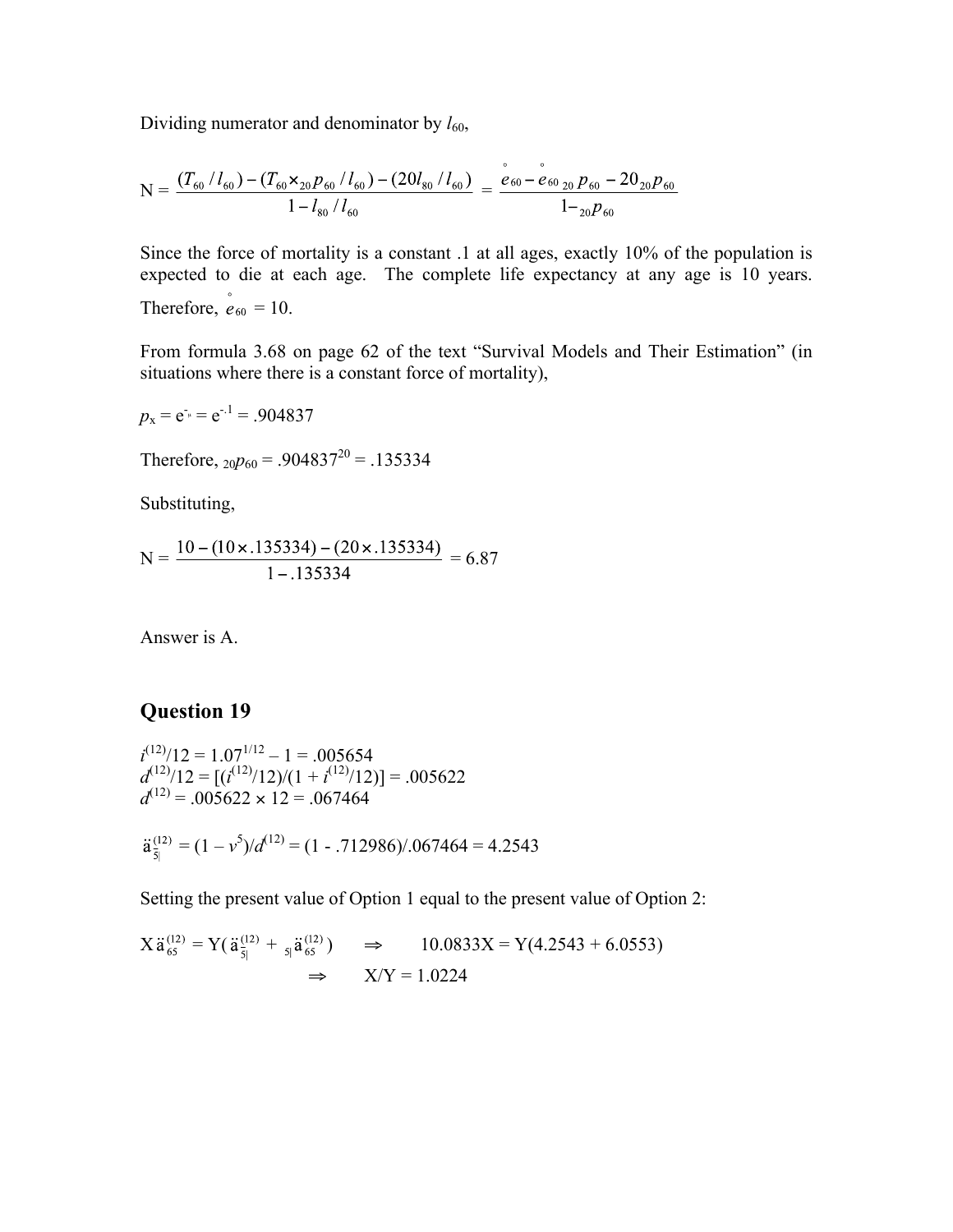Dividing numerator and denominator by  $l_{60}$ ,

$$
N = \frac{(T_{60}/l_{60}) - (T_{60} \times_{20} p_{60}/l_{60}) - (20l_{80}/l_{60})}{1 - l_{80}/l_{60}} = \frac{e_{60} - e_{60}}{1 - e_{60}/l_{60}} = \frac{1 - e_{60}}{1 - e_{60}} = \frac{1 - e_{60}}{1 - e_{60}}
$$

Since the force of mortality is a constant .1 at all ages, exactly 10% of the population is expected to die at each age. The complete life expectancy at any age is 10 years. Therefore,  $e_{60} = 10$ .

From formula 3.68 on page 62 of the text "Survival Models and Their Estimation" (in situations where there is a constant force of mortality),

$$
p_x = e^{-x} = e^{-x} = .904837
$$

Therefore,  $_{20}p_{60} = .904837^{20} = .135334$ 

Substituting,

$$
N = \frac{10 - (10 \times .135334) - (20 \times .135334)}{1 - .135334} = 6.87
$$

Answer is A.

### **Question 19**

$$
i^{(12)}/12 = 1.07^{1/12} - 1 = .005654
$$
  
\n
$$
d^{(12)}/12 = [(i^{(12)}/12)/(1 + i^{(12)}/12)] = .005622
$$
  
\n
$$
d^{(12)} = .005622 \times 12 = .067464
$$

$$
\ddot{a}_{\bar{5}|}^{(12)} = (1 - v^5)/d^{(12)} = (1 - .712986)/.067464 = 4.2543
$$

Setting the present value of Option 1 equal to the present value of Option 2:

$$
X \ddot{a}_{65}^{(12)} = Y(\ddot{a}_{\bar{5}|}^{(12)} + {}_{5|}\ddot{a}_{65}^{(12)}) \Rightarrow 10.0833X = Y(4.2543 + 6.0553)
$$
  

$$
\Rightarrow X/Y = 1.0224
$$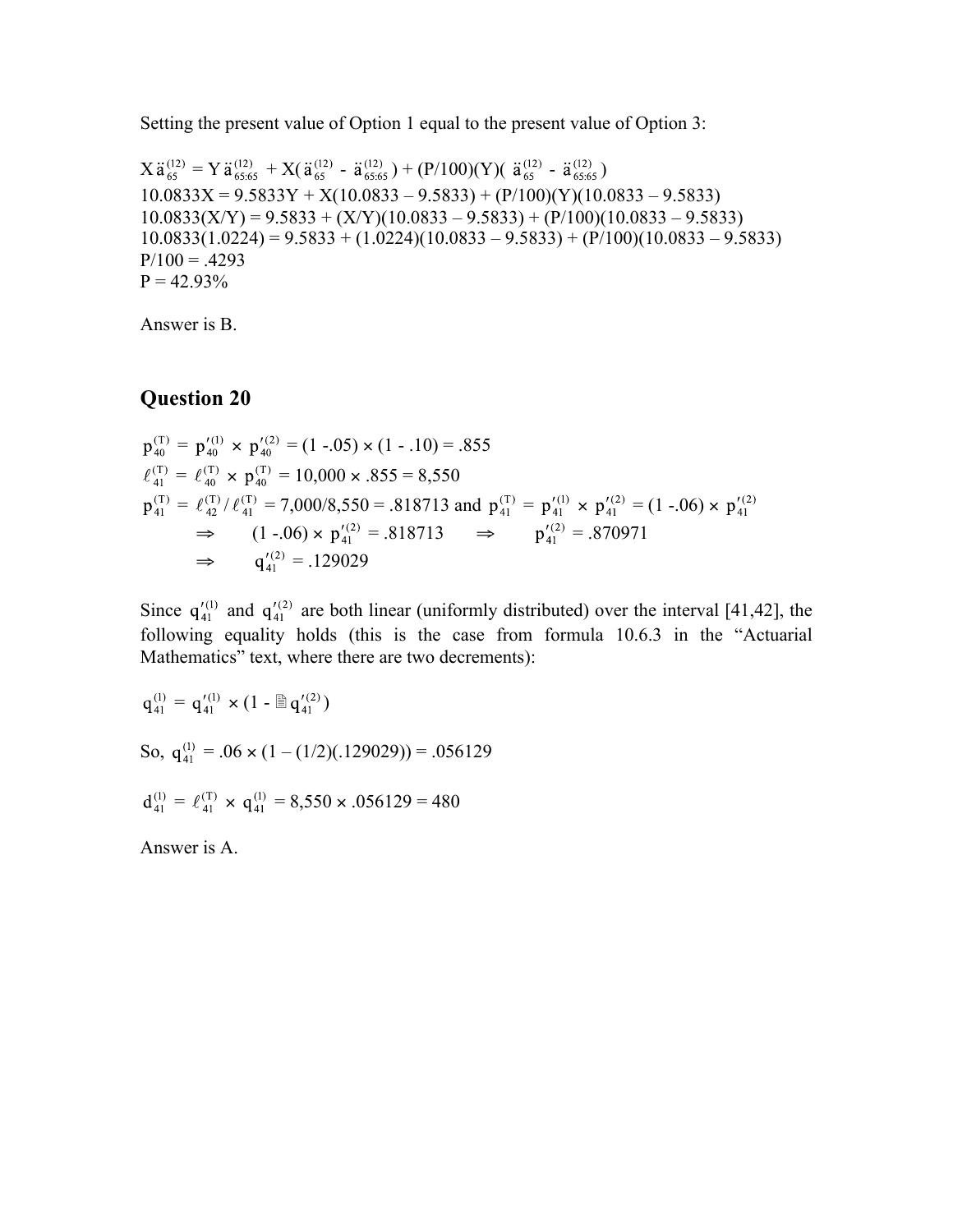Setting the present value of Option 1 equal to the present value of Option 3:

 $X \ddot{a}_{65}^{(12)} = Y \ddot{a}_{65:65}^{(12)} + X(\ddot{a}_{65}^{(12)} - \ddot{a}_{65:65}^{(12)}) + (P/100)(Y)( \ddot{a}_{65}^{(12)} - \ddot{a}_{65:65}^{(12)})$  $10.0833X = 9.5833Y + X(10.0833 - 9.5833) + (P/100)(Y)(10.0833 - 9.5833)$  $10.0833(X/Y) = 9.5833 + (X/Y)(10.0833 - 9.5833) + (P/100)(10.0833 - 9.5833)$  $10.0833(1.0224) = 9.5833 + (1.0224)(10.0833 - 9.5833) + (P/100)(10.0833 - 9.5833)$  $P/100 = .4293$  $P = 42.93\%$ 

Answer is B.

#### **Question 20**

$$
p_{40}^{(T)} = p_{40}^{'(1)} \times p_{40}^{'(2)} = (1 - .05) \times (1 - .10) = .855
$$
  
\n
$$
\ell_{41}^{(T)} = \ell_{40}^{(T)} \times p_{40}^{(T)} = 10,000 \times .855 = 8,550
$$
  
\n
$$
p_{41}^{(T)} = \ell_{42}^{(T)}/\ell_{41}^{(T)} = 7,000/8,550 = .818713
$$
 and 
$$
p_{41}^{(T)} = p_{41}^{'(1)} \times p_{41}^{'(2)} = (1 - .06) \times p_{41}^{'(2)}
$$
  
\n
$$
\Rightarrow (1 - .06) \times p_{41}^{'(2)} = .818713 \Rightarrow p_{41}^{'(2)} = .870971
$$
  
\n
$$
\Rightarrow q_{41}^{'} = .129029
$$

Since  $q_{41}^{\prime(1)}$  and  $q_{41}^{\prime(2)}$  are both linear (uniformly distributed) over the interval [41,42], the following equality holds (this is the case from formula 10.6.3 in the "Actuarial Mathematics" text, where there are two decrements):

 $q_{41}^{(1)} = q_{41}^{'(1)} \times (1 - \triangleq q_{41}^{'(2)})$ So,  $q_{41}^{(1)} = .06 \times (1 - (1/2)(.129029)) = .056129$  $d_{41}^{(1)} = \ell_{41}^{(T)} \times q_{41}^{(1)} = 8,550 \times .056129 = 480$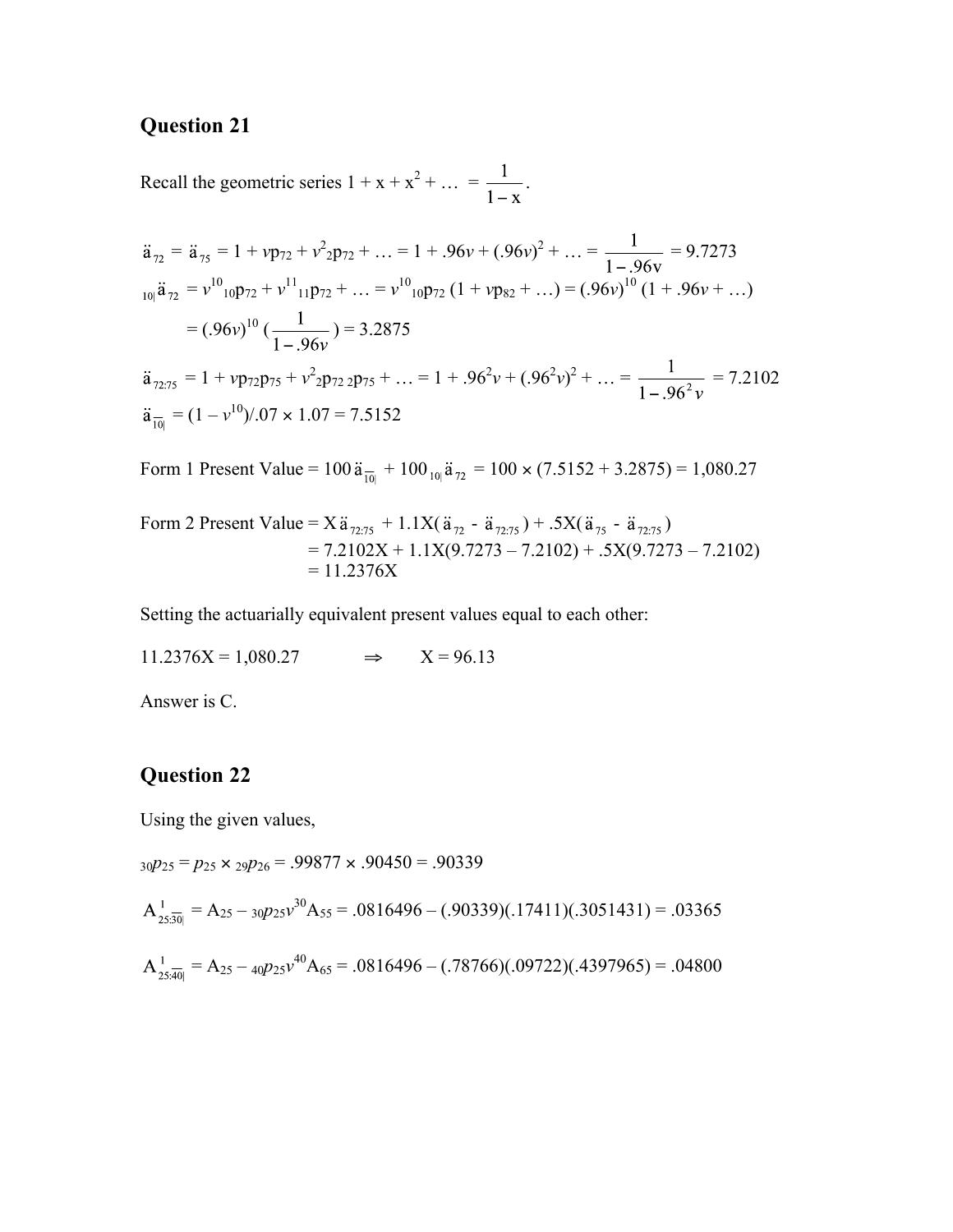Recall the geometric series  $1 + x + x^2 + ... = \frac{1}{x}$ .

$$
\ddot{a}_{72} = \ddot{a}_{75} = 1 + vp_{72} + v^2_{2}p_{72} + ... = 1 + .96v + (.96v)^2 + ... = \frac{1}{1 - .96v} = 9.7273
$$
\n
$$
_{10} \ddot{a}_{72} = v^{10}{}_{10}p_{72} + v^{11}{}_{11}p_{72} + ... = v^{10}{}_{10}p_{72} (1 + vp_{82} + ...) = (.96v)^{10} (1 + .96v + ...)
$$
\n
$$
= (.96v)^{10} (\frac{1}{1 - .96v}) = 3.2875
$$
\n
$$
\ddot{a}_{72:75} = 1 + vp_{72}p_{75} + v^2_{2}p_{72}p_{75} + ... = 1 + .96^2v + (.96^2v)^2 + ... = \frac{1}{1 - .96^2v} = 7.2102
$$
\n
$$
\ddot{a}_{\overline{10}} = (1 - v^{10})/.07 \times 1.07 = 7.5152
$$

Form 1 Present Value =  $100 \ddot{a}_{\overline{10|}} + 100 \dot{a}_{10} \ddot{a}_{72} = 100 \times (7.5152 + 3.2875) = 1,080.27$ 

Form 2 Present Value = 
$$
X\ddot{a}_{72.75} + 1.1X(\ddot{a}_{72} - \ddot{a}_{72.75}) + .5X(\ddot{a}_{75} - \ddot{a}_{72.75})
$$
  
= 7.2102X + 1.1X(9.7273 – 7.2102) + .5X(9.7273 – 7.2102)  
= 11.2376X

Setting the actuarially equivalent present values equal to each other:

$$
11.2376X = 1,080.27 \qquad \Rightarrow \qquad X = 96.13
$$

Answer is C.

### **Question 22**

Using the given values,

<sup>30</sup>*p*25 = *p*<sup>25</sup> × <sup>29</sup>*p*26 = .99877 × .90450 = .90339

$$
A_{25,30|}^{1} = A_{25} - 30P_{25}v^{30}A_{55} = .0816496 - (.90339)(.17411)(.3051431) = .03365
$$

$$
A_{25:\overline{40}|}^{1} = A_{25} - 40p_{25}v^{40}A_{65} = .0816496 - (.78766)(.09722)(.4397965) = .04800
$$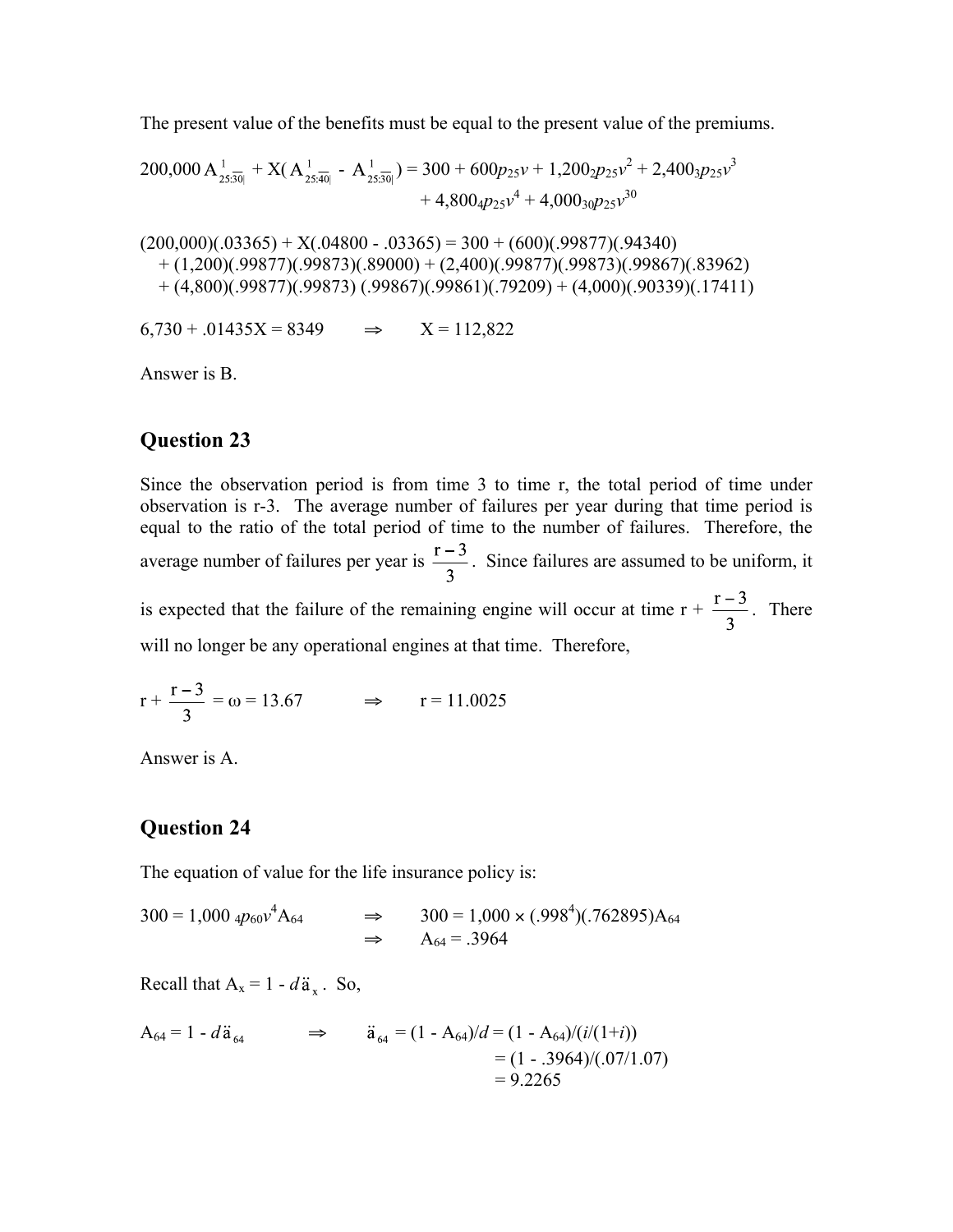The present value of the benefits must be equal to the present value of the premiums.

$$
200,000 A_{25;\overline{30}|}^{1} + X(A_{25;\overline{40}|}^{1} - A_{25;\overline{30}|}^{1}) = 300 + 600p_{25}v + 1,200_2p_{25}v^{2} + 2,400_3p_{25}v^{3} + 4,800_4p_{25}v^{4} + 4,000_3_0p_{25}v^{30}
$$

 $(200,000)(.03365) + X(.04800 - .03365) = 300 + (600)(.99877)(.94340)$  $+(1,200)(.99877)(.99873)(.89000) + (2,400)(.99877)(.99873)(.99867)(.83962)$  $+(4,800)(.99877)(.99873)(.99867)(.99861)(.79209) + (4,000)(.90339)(.17411)$ 

 $6.730 + 0.01435X = 8349$   $\Rightarrow$   $X = 112.822$ 

Answer is B.

#### **Question 23**

Since the observation period is from time 3 to time r, the total period of time under observation is r-3. The average number of failures per year during that time period is equal to the ratio of the total period of time to the number of failures. Therefore, the average number of failures per year is  $\frac{r-3}{3}$ . Since failures are assumed to be uniform, it is expected that the failure of the remaining engine will occur at time  $r + \frac{r-3}{3}$ . There will no longer be any operational engines at that time. Therefore,

$$
r + \frac{r-3}{3} = \omega = 13.67
$$
  $\implies$   $r = 11.0025$ 

Answer is A.

#### **Question 24**

The equation of value for the life insurance policy is:

 $300 = 1,000 \frac{4p_{60}v^4}{A_{64}} \implies 300 = 1,000 \times (0.998^4)(0.762895)A_{64}$  $\Rightarrow$  A<sub>64</sub> = .3964

Recall that  $A_x = 1 - d\ddot{a}_x$ . So,

$$
A_{64} = 1 - d\ddot{a}_{64} \implies \ddot{a}_{64} = (1 - A_{64})/d = (1 - A_{64})/(i/(1+i))
$$
  
= (1 - .3964)/(.07/1.07)  
= 9.2265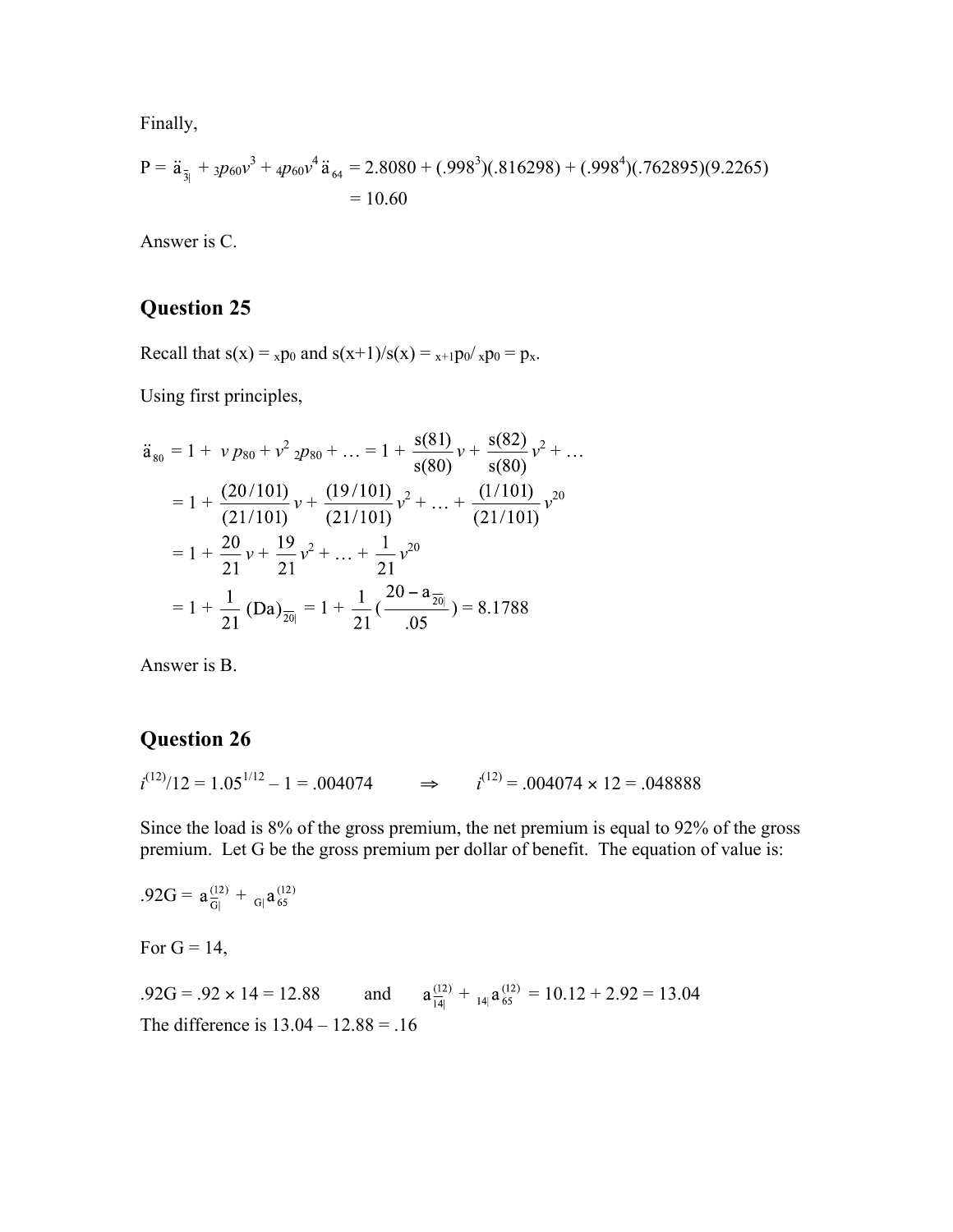Finally,

$$
P = \ddot{a}_{\bar{3}|} + 3p_{60}v^3 + 4p_{60}v^4 \ddot{a}_{64} = 2.8080 + (.998^3)(.816298) + (.998^4)(.762895)(9.2265)
$$
  
= 10.60

Answer is C.

## **Question 25**

Recall that  $s(x) = x p_0$  and  $s(x+1)/s(x) = x+1 p_0 / x p_0 = p_x$ .

Using first principles,

$$
\ddot{a}_{80} = 1 + v p_{80} + v^2 2p_{80} + \dots = 1 + \frac{s(81)}{s(80)}v + \frac{s(82)}{s(80)}v^2 + \dots
$$
  
=  $1 + \frac{(20/101)}{(21/101)}v + \frac{(19/101)}{(21/101)}v^2 + \dots + \frac{(1/101)}{(21/101)}v^{20}$   
=  $1 + \frac{20}{21}v + \frac{19}{21}v^2 + \dots + \frac{1}{21}v^{20}$   
=  $1 + \frac{1}{21} (Da)_{\overline{20|}} = 1 + \frac{1}{21} (\frac{20 - a_{\overline{20|}}}{.05) = 8.1788$ 

Answer is B.

## **Question 26**

 $i^{(12)}/12 = 1.05^{1/12} - 1 = .004074$   $\Rightarrow$   $i^{(12)} = .004074 \times 12 = .048888$ 

Since the load is 8% of the gross premium, the net premium is equal to 92% of the gross premium. Let G be the gross premium per dollar of benefit. The equation of value is:

$$
.92G = a_{\text{G}}^{(12)} + {}_{\text{G}}a_{65}^{(12)}
$$
  
For G = 14,  
 $.92G = .92 \times 14 = 12.88$  and  $a_{\text{H}}^{(12)} + {}_{\text{H}}a_{65}^{(12)} = 10.12 + 2.92 = 13.04$   
The difference is 13.04 – 12.88 = .16